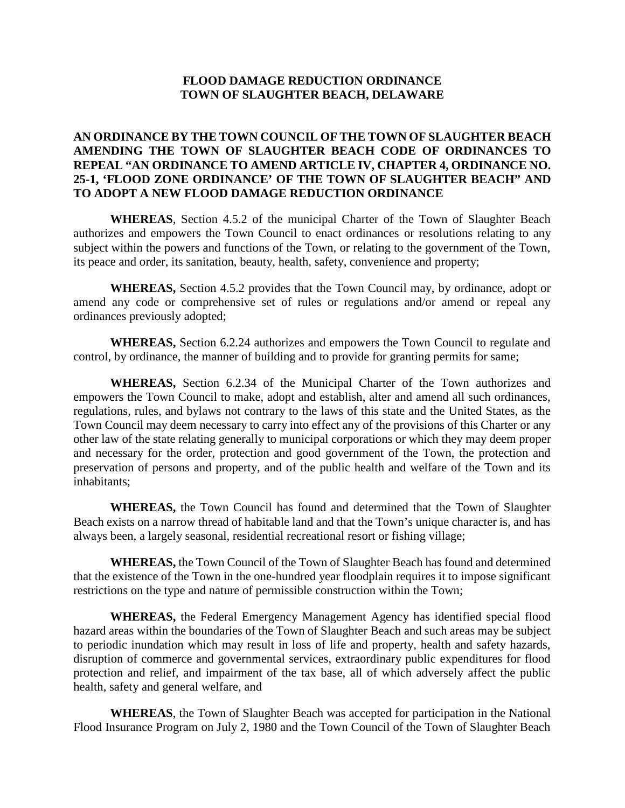### **FLOOD DAMAGE REDUCTION ORDINANCE TOWN OF SLAUGHTER BEACH, DELAWARE**

## **AN ORDINANCE BY THE TOWN COUNCIL OF THE TOWN OF SLAUGHTER BEACH AMENDING THE TOWN OF SLAUGHTER BEACH CODE OF ORDINANCES TO REPEAL "AN ORDINANCE TO AMEND ARTICLE IV, CHAPTER 4, ORDINANCE NO. 25-1, 'FLOOD ZONE ORDINANCE' OF THE TOWN OF SLAUGHTER BEACH" AND TO ADOPT A NEW FLOOD DAMAGE REDUCTION ORDINANCE**

**WHEREAS***,* Section 4.5.2 of the municipal Charter of the Town of Slaughter Beach authorizes and empowers the Town Council to enact ordinances or resolutions relating to any subject within the powers and functions of the Town, or relating to the government of the Town, its peace and order, its sanitation, beauty, health, safety, convenience and property;

**WHEREAS,** Section 4.5.2 provides that the Town Council may, by ordinance, adopt or amend any code or comprehensive set of rules or regulations and/or amend or repeal any ordinances previously adopted;

**WHEREAS,** Section 6.2.24 authorizes and empowers the Town Council to regulate and control, by ordinance, the manner of building and to provide for granting permits for same;

**WHEREAS,** Section 6.2.34 of the Municipal Charter of the Town authorizes and empowers the Town Council to make, adopt and establish, alter and amend all such ordinances, regulations, rules, and bylaws not contrary to the laws of this state and the United States, as the Town Council may deem necessary to carry into effect any of the provisions of this Charter or any other law of the state relating generally to municipal corporations or which they may deem proper and necessary for the order, protection and good government of the Town, the protection and preservation of persons and property, and of the public health and welfare of the Town and its inhabitants;

**WHEREAS,** the Town Council has found and determined that the Town of Slaughter Beach exists on a narrow thread of habitable land and that the Town's unique character is, and has always been, a largely seasonal, residential recreational resort or fishing village;

**WHEREAS,** the Town Council of the Town of Slaughter Beach has found and determined that the existence of the Town in the one-hundred year floodplain requires it to impose significant restrictions on the type and nature of permissible construction within the Town;

**WHEREAS,** the Federal Emergency Management Agency has identified special flood hazard areas within the boundaries of the Town of Slaughter Beach and such areas may be subject to periodic inundation which may result in loss of life and property, health and safety hazards, disruption of commerce and governmental services, extraordinary public expenditures for flood protection and relief, and impairment of the tax base, all of which adversely affect the public health, safety and general welfare, and

**WHEREAS**, the Town of Slaughter Beach was accepted for participation in the National Flood Insurance Program on July 2, 1980 and the Town Council of the Town of Slaughter Beach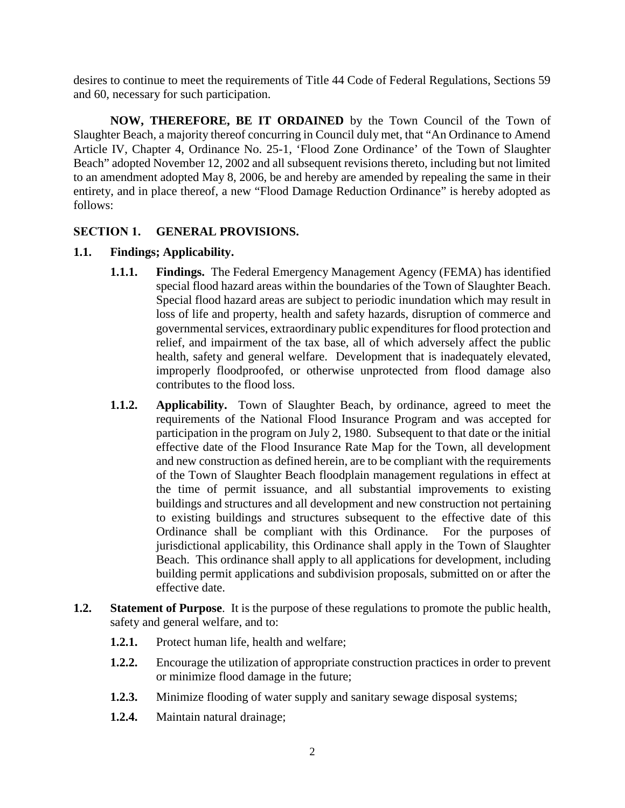desires to continue to meet the requirements of Title 44 Code of Federal Regulations, Sections 59 and 60, necessary for such participation.

**NOW, THEREFORE, BE IT ORDAINED** by the Town Council of the Town of Slaughter Beach, a majority thereof concurring in Council duly met, that "An Ordinance to Amend Article IV, Chapter 4, Ordinance No. 25-1, 'Flood Zone Ordinance' of the Town of Slaughter Beach" adopted November 12, 2002 and all subsequent revisions thereto, including but not limited to an amendment adopted May 8, 2006, be and hereby are amended by repealing the same in their entirety, and in place thereof, a new "Flood Damage Reduction Ordinance" is hereby adopted as follows:

### **SECTION 1. GENERAL PROVISIONS.**

### **1.1. Findings; Applicability.**

- **1.1.1. Findings.** The Federal Emergency Management Agency (FEMA) has identified special flood hazard areas within the boundaries of the Town of Slaughter Beach. Special flood hazard areas are subject to periodic inundation which may result in loss of life and property, health and safety hazards, disruption of commerce and governmental services, extraordinary public expenditures for flood protection and relief, and impairment of the tax base, all of which adversely affect the public health, safety and general welfare. Development that is inadequately elevated, improperly floodproofed, or otherwise unprotected from flood damage also contributes to the flood loss.
- **1.1.2. Applicability.** Town of Slaughter Beach, by ordinance, agreed to meet the requirements of the National Flood Insurance Program and was accepted for participation in the program on July 2, 1980. Subsequent to that date or the initial effective date of the Flood Insurance Rate Map for the Town, all development and new construction as defined herein, are to be compliant with the requirements of the Town of Slaughter Beach floodplain management regulations in effect at the time of permit issuance, and all substantial improvements to existing buildings and structures and all development and new construction not pertaining to existing buildings and structures subsequent to the effective date of this Ordinance shall be compliant with this Ordinance. For the purposes of jurisdictional applicability, this Ordinance shall apply in the Town of Slaughter Beach. This ordinance shall apply to all applications for development, including building permit applications and subdivision proposals, submitted on or after the effective date.
- **1.2. Statement of Purpose**. It is the purpose of these regulations to promote the public health, safety and general welfare, and to:
	- **1.2.1.** Protect human life, health and welfare;
	- **1.2.2.** Encourage the utilization of appropriate construction practices in order to prevent or minimize flood damage in the future;
	- **1.2.3.** Minimize flooding of water supply and sanitary sewage disposal systems;
	- **1.2.4.** Maintain natural drainage;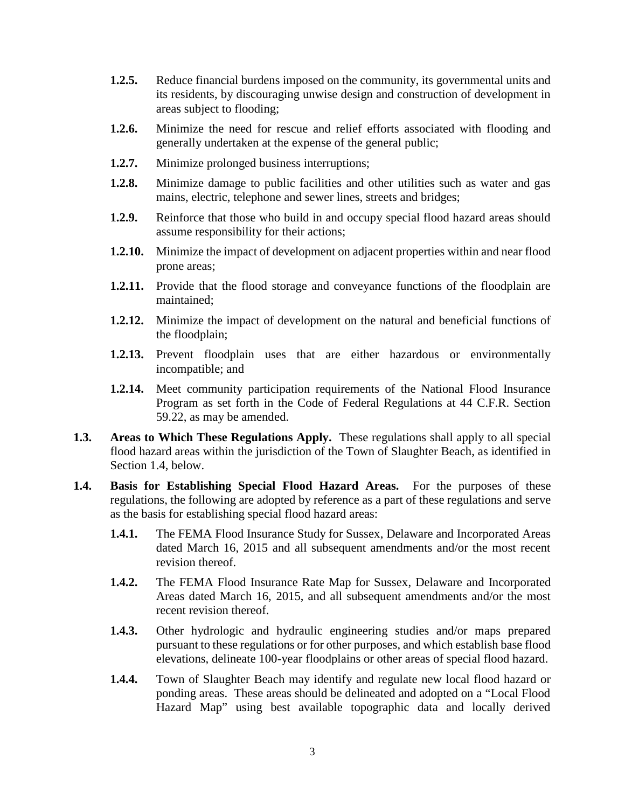- **1.2.5.** Reduce financial burdens imposed on the community, its governmental units and its residents, by discouraging unwise design and construction of development in areas subject to flooding;
- **1.2.6.** Minimize the need for rescue and relief efforts associated with flooding and generally undertaken at the expense of the general public;
- **1.2.7.** Minimize prolonged business interruptions;
- **1.2.8.** Minimize damage to public facilities and other utilities such as water and gas mains, electric, telephone and sewer lines, streets and bridges;
- **1.2.9.** Reinforce that those who build in and occupy special flood hazard areas should assume responsibility for their actions;
- **1.2.10.** Minimize the impact of development on adjacent properties within and near flood prone areas;
- **1.2.11.** Provide that the flood storage and conveyance functions of the floodplain are maintained;
- **1.2.12.** Minimize the impact of development on the natural and beneficial functions of the floodplain;
- **1.2.13.** Prevent floodplain uses that are either hazardous or environmentally incompatible; and
- **1.2.14.** Meet community participation requirements of the National Flood Insurance Program as set forth in the Code of Federal Regulations at 44 C.F.R. Section 59.22, as may be amended.
- **1.3. Areas to Which These Regulations Apply.** These regulations shall apply to all special flood hazard areas within the jurisdiction of the Town of Slaughter Beach, as identified in Section 1.4, below.
- **1.4. Basis for Establishing Special Flood Hazard Areas.** For the purposes of these regulations, the following are adopted by reference as a part of these regulations and serve as the basis for establishing special flood hazard areas:
	- **1.4.1.** The FEMA Flood Insurance Study for Sussex, Delaware and Incorporated Areas dated March 16, 2015 and all subsequent amendments and/or the most recent revision thereof.
	- **1.4.2.** The FEMA Flood Insurance Rate Map for Sussex, Delaware and Incorporated Areas dated March 16, 2015, and all subsequent amendments and/or the most recent revision thereof.
	- **1.4.3.** Other hydrologic and hydraulic engineering studies and/or maps prepared pursuant to these regulations or for other purposes, and which establish base flood elevations, delineate 100-year floodplains or other areas of special flood hazard.
	- **1.4.4.** Town of Slaughter Beach may identify and regulate new local flood hazard or ponding areas. These areas should be delineated and adopted on a "Local Flood Hazard Map" using best available topographic data and locally derived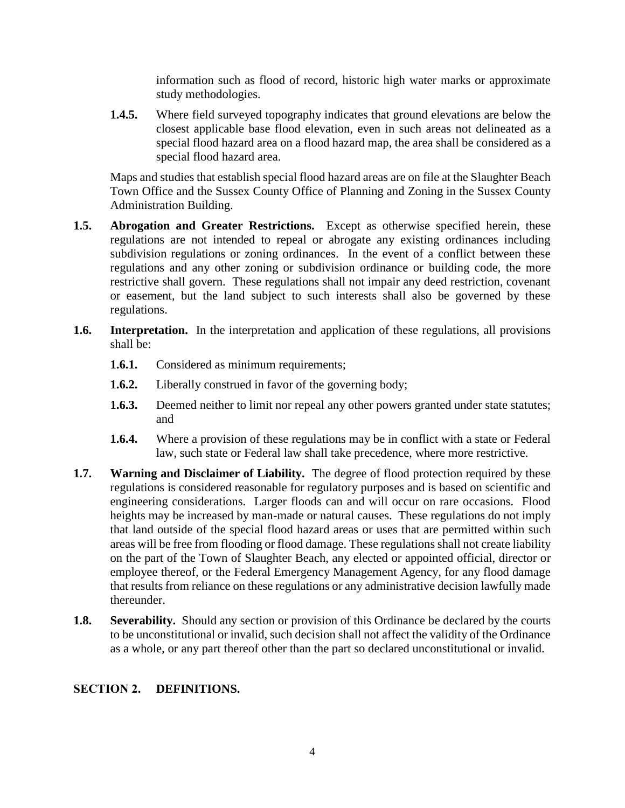information such as flood of record, historic high water marks or approximate study methodologies.

**1.4.5.** Where field surveyed topography indicates that ground elevations are below the closest applicable base flood elevation, even in such areas not delineated as a special flood hazard area on a flood hazard map, the area shall be considered as a special flood hazard area.

Maps and studies that establish special flood hazard areas are on file at the Slaughter Beach Town Office and the Sussex County Office of Planning and Zoning in the Sussex County Administration Building.

- **1.5. Abrogation and Greater Restrictions.** Except as otherwise specified herein, these regulations are not intended to repeal or abrogate any existing ordinances including subdivision regulations or zoning ordinances. In the event of a conflict between these regulations and any other zoning or subdivision ordinance or building code, the more restrictive shall govern. These regulations shall not impair any deed restriction, covenant or easement, but the land subject to such interests shall also be governed by these regulations.
- **1.6. Interpretation.** In the interpretation and application of these regulations, all provisions shall be:
	- **1.6.1.** Considered as minimum requirements;
	- **1.6.2.** Liberally construed in favor of the governing body;
	- **1.6.3.** Deemed neither to limit nor repeal any other powers granted under state statutes; and
	- **1.6.4.** Where a provision of these regulations may be in conflict with a state or Federal law, such state or Federal law shall take precedence, where more restrictive.
- **1.7. Warning and Disclaimer of Liability.** The degree of flood protection required by these regulations is considered reasonable for regulatory purposes and is based on scientific and engineering considerations. Larger floods can and will occur on rare occasions. Flood heights may be increased by man-made or natural causes. These regulations do not imply that land outside of the special flood hazard areas or uses that are permitted within such areas will be free from flooding or flood damage. These regulations shall not create liability on the part of the Town of Slaughter Beach, any elected or appointed official, director or employee thereof, or the Federal Emergency Management Agency, for any flood damage that results from reliance on these regulations or any administrative decision lawfully made thereunder.
- **1.8. Severability.** Should any section or provision of this Ordinance be declared by the courts to be unconstitutional or invalid, such decision shall not affect the validity of the Ordinance as a whole, or any part thereof other than the part so declared unconstitutional or invalid.

### **SECTION 2. DEFINITIONS.**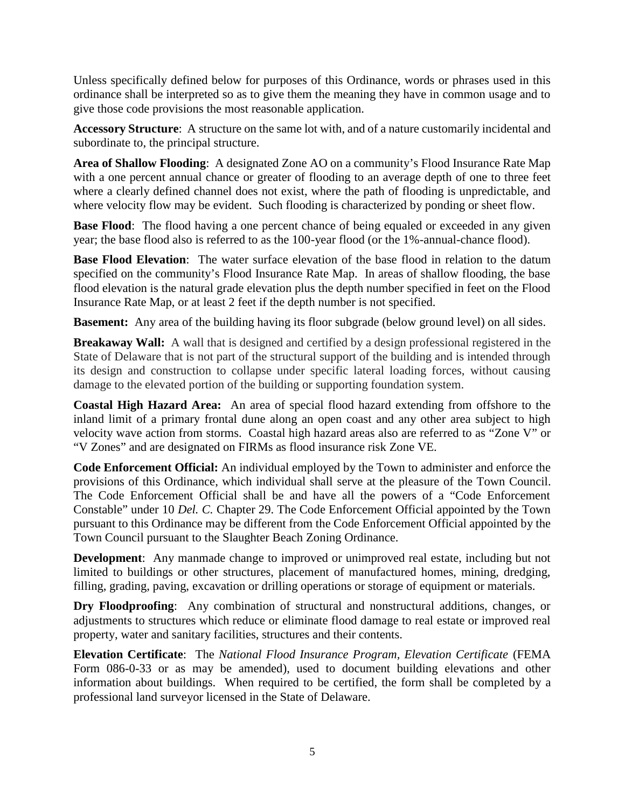Unless specifically defined below for purposes of this Ordinance, words or phrases used in this ordinance shall be interpreted so as to give them the meaning they have in common usage and to give those code provisions the most reasonable application.

**Accessory Structure**: A structure on the same lot with, and of a nature customarily incidental and subordinate to, the principal structure.

**Area of Shallow Flooding**: A designated Zone AO on a community's Flood Insurance Rate Map with a one percent annual chance or greater of flooding to an average depth of one to three feet where a clearly defined channel does not exist, where the path of flooding is unpredictable, and where velocity flow may be evident. Such flooding is characterized by ponding or sheet flow.

**Base Flood**: The flood having a one percent chance of being equaled or exceeded in any given year; the base flood also is referred to as the 100-year flood (or the 1%-annual-chance flood).

**Base Flood Elevation**: The water surface elevation of the base flood in relation to the datum specified on the community's Flood Insurance Rate Map. In areas of shallow flooding, the base flood elevation is the natural grade elevation plus the depth number specified in feet on the Flood Insurance Rate Map, or at least 2 feet if the depth number is not specified.

**Basement:** Any area of the building having its floor subgrade (below ground level) on all sides.

**Breakaway Wall:** A wall that is designed and certified by a design professional registered in the State of Delaware that is not part of the structural support of the building and is intended through its design and construction to collapse under specific lateral loading forces, without causing damage to the elevated portion of the building or supporting foundation system.

**Coastal High Hazard Area:** An area of special flood hazard extending from offshore to the inland limit of a primary frontal dune along an open coast and any other area subject to high velocity wave action from storms. Coastal high hazard areas also are referred to as "Zone V" or "V Zones" and are designated on FIRMs as flood insurance risk Zone VE.

**Code Enforcement Official:** An individual employed by the Town to administer and enforce the provisions of this Ordinance, which individual shall serve at the pleasure of the Town Council. The Code Enforcement Official shall be and have all the powers of a "Code Enforcement Constable" under 10 *Del. C.* Chapter 29. The Code Enforcement Official appointed by the Town pursuant to this Ordinance may be different from the Code Enforcement Official appointed by the Town Council pursuant to the Slaughter Beach Zoning Ordinance.

**Development**: Any manmade change to improved or unimproved real estate, including but not limited to buildings or other structures, placement of manufactured homes, mining, dredging, filling, grading, paving, excavation or drilling operations or storage of equipment or materials.

**Dry Floodproofing**: Any combination of structural and nonstructural additions, changes, or adjustments to structures which reduce or eliminate flood damage to real estate or improved real property, water and sanitary facilities, structures and their contents.

**Elevation Certificate**: The *National Flood Insurance Program, Elevation Certificate* (FEMA Form 086-0-33 or as may be amended), used to document building elevations and other information about buildings. When required to be certified, the form shall be completed by a professional land surveyor licensed in the State of Delaware.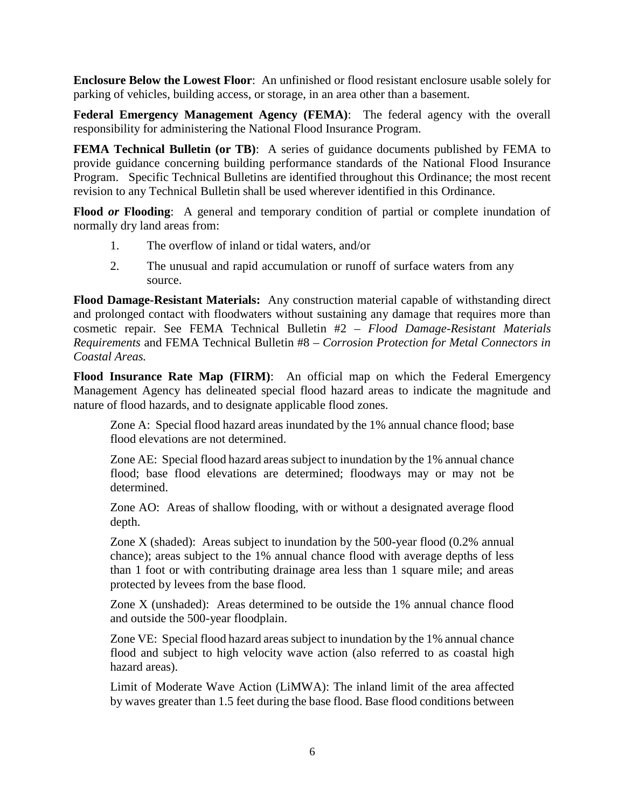**Enclosure Below the Lowest Floor**: An unfinished or flood resistant enclosure usable solely for parking of vehicles, building access, or storage, in an area other than a basement.

**Federal Emergency Management Agency (FEMA)**: The federal agency with the overall responsibility for administering the National Flood Insurance Program.

**FEMA Technical Bulletin (or TB)**: A series of guidance documents published by FEMA to provide guidance concerning building performance standards of the National Flood Insurance Program. Specific Technical Bulletins are identified throughout this Ordinance; the most recent revision to any Technical Bulletin shall be used wherever identified in this Ordinance.

**Flood** *or* **Flooding**: A general and temporary condition of partial or complete inundation of normally dry land areas from:

- 1. The overflow of inland or tidal waters, and/or
- 2. The unusual and rapid accumulation or runoff of surface waters from any source.

**Flood Damage-Resistant Materials:** Any construction material capable of withstanding direct and prolonged contact with floodwaters without sustaining any damage that requires more than cosmetic repair. See FEMA Technical Bulletin #2 – *Flood Damage-Resistant Materials Requirements* and FEMA Technical Bulletin #8 – *Corrosion Protection for Metal Connectors in Coastal Areas.*

**Flood Insurance Rate Map (FIRM)**: An official map on which the Federal Emergency Management Agency has delineated special flood hazard areas to indicate the magnitude and nature of flood hazards, and to designate applicable flood zones.

Zone A: Special flood hazard areas inundated by the 1% annual chance flood; base flood elevations are not determined.

Zone AE: Special flood hazard areas subject to inundation by the 1% annual chance flood; base flood elevations are determined; floodways may or may not be determined.

Zone AO: Areas of shallow flooding, with or without a designated average flood depth.

Zone X (shaded): Areas subject to inundation by the 500-year flood (0.2% annual chance); areas subject to the 1% annual chance flood with average depths of less than 1 foot or with contributing drainage area less than 1 square mile; and areas protected by levees from the base flood.

Zone X (unshaded): Areas determined to be outside the 1% annual chance flood and outside the 500-year floodplain.

Zone VE: Special flood hazard areas subject to inundation by the 1% annual chance flood and subject to high velocity wave action (also referred to as coastal high hazard areas).

Limit of Moderate Wave Action (LiMWA): The inland limit of the area affected by waves greater than 1.5 feet during the base flood. Base flood conditions between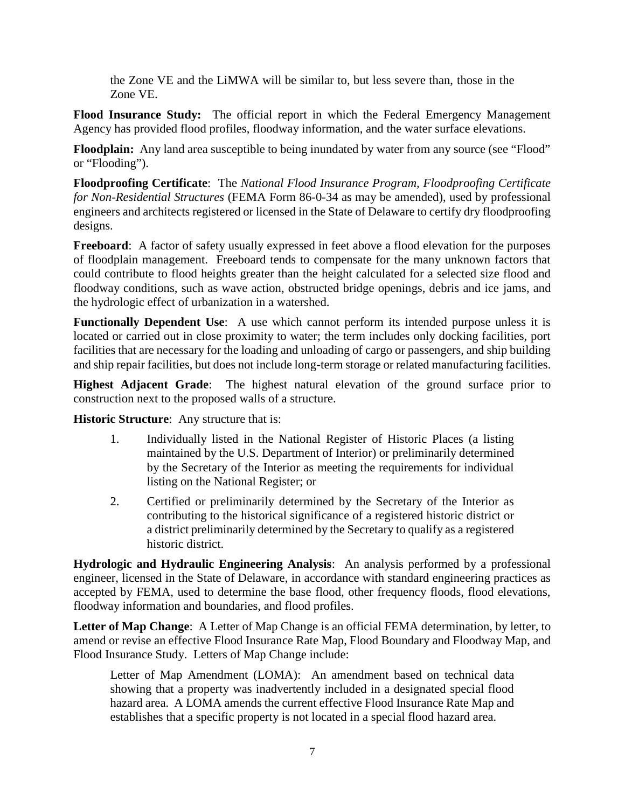the Zone VE and the LiMWA will be similar to, but less severe than, those in the Zone VE.

**Flood Insurance Study:** The official report in which the Federal Emergency Management Agency has provided flood profiles, floodway information, and the water surface elevations.

**Floodplain:** Any land area susceptible to being inundated by water from any source (see "Flood" or "Flooding").

**Floodproofing Certificate**: The *National Flood Insurance Program, Floodproofing Certificate for Non-Residential Structures* (FEMA Form 86-0-34 as may be amended), used by professional engineers and architects registered or licensed in the State of Delaware to certify dry floodproofing designs.

**Freeboard:** A factor of safety usually expressed in feet above a flood elevation for the purposes of floodplain management. Freeboard tends to compensate for the many unknown factors that could contribute to flood heights greater than the height calculated for a selected size flood and floodway conditions, such as wave action, obstructed bridge openings, debris and ice jams, and the hydrologic effect of urbanization in a watershed.

**Functionally Dependent Use**: A use which cannot perform its intended purpose unless it is located or carried out in close proximity to water; the term includes only docking facilities, port facilities that are necessary for the loading and unloading of cargo or passengers, and ship building and ship repair facilities, but does not include long-term storage or related manufacturing facilities.

**Highest Adjacent Grade**: The highest natural elevation of the ground surface prior to construction next to the proposed walls of a structure.

**Historic Structure**: Any structure that is:

- 1. Individually listed in the National Register of Historic Places (a listing maintained by the U.S. Department of Interior) or preliminarily determined by the Secretary of the Interior as meeting the requirements for individual listing on the National Register; or
- 2. Certified or preliminarily determined by the Secretary of the Interior as contributing to the historical significance of a registered historic district or a district preliminarily determined by the Secretary to qualify as a registered historic district.

**Hydrologic and Hydraulic Engineering Analysis**: An analysis performed by a professional engineer, licensed in the State of Delaware, in accordance with standard engineering practices as accepted by FEMA, used to determine the base flood, other frequency floods, flood elevations, floodway information and boundaries, and flood profiles.

**Letter of Map Change**: A Letter of Map Change is an official FEMA determination, by letter, to amend or revise an effective Flood Insurance Rate Map, Flood Boundary and Floodway Map, and Flood Insurance Study. Letters of Map Change include:

Letter of Map Amendment (LOMA): An amendment based on technical data showing that a property was inadvertently included in a designated special flood hazard area. A LOMA amends the current effective Flood Insurance Rate Map and establishes that a specific property is not located in a special flood hazard area.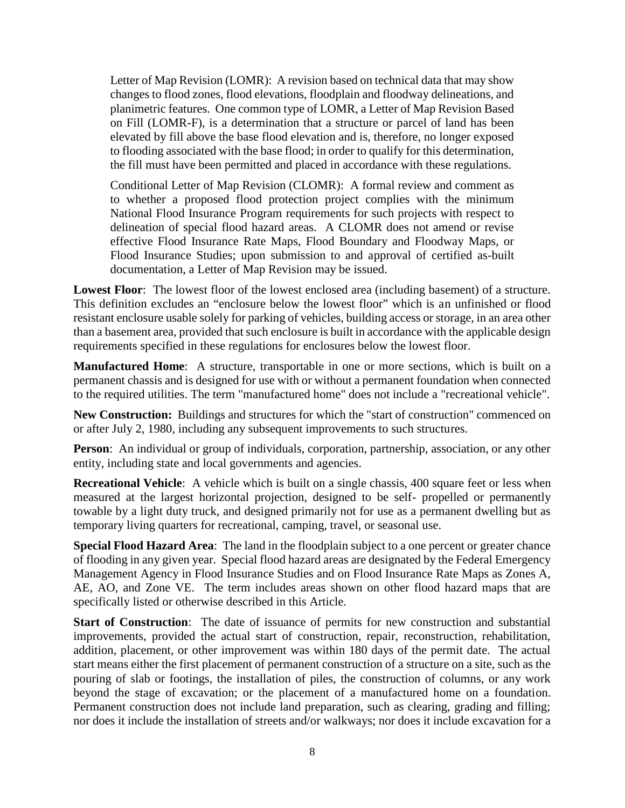Letter of Map Revision (LOMR): A revision based on technical data that may show changes to flood zones, flood elevations, floodplain and floodway delineations, and planimetric features. One common type of LOMR, a Letter of Map Revision Based on Fill (LOMR-F), is a determination that a structure or parcel of land has been elevated by fill above the base flood elevation and is, therefore, no longer exposed to flooding associated with the base flood; in order to qualify for this determination, the fill must have been permitted and placed in accordance with these regulations.

Conditional Letter of Map Revision (CLOMR): A formal review and comment as to whether a proposed flood protection project complies with the minimum National Flood Insurance Program requirements for such projects with respect to delineation of special flood hazard areas. A CLOMR does not amend or revise effective Flood Insurance Rate Maps, Flood Boundary and Floodway Maps, or Flood Insurance Studies; upon submission to and approval of certified as-built documentation, a Letter of Map Revision may be issued.

**Lowest Floor**: The lowest floor of the lowest enclosed area (including basement) of a structure. This definition excludes an "enclosure below the lowest floor" which is an unfinished or flood resistant enclosure usable solely for parking of vehicles, building access or storage, in an area other than a basement area, provided that such enclosure is built in accordance with the applicable design requirements specified in these regulations for enclosures below the lowest floor.

**Manufactured Home**: A structure, transportable in one or more sections, which is built on a permanent chassis and is designed for use with or without a permanent foundation when connected to the required utilities. The term "manufactured home" does not include a "recreational vehicle".

**New Construction:** Buildings and structures for which the "start of construction" commenced on or after July 2, 1980, including any subsequent improvements to such structures.

**Person**: An individual or group of individuals, corporation, partnership, association, or any other entity, including state and local governments and agencies.

**Recreational Vehicle**: A vehicle which is built on a single chassis, 400 square feet or less when measured at the largest horizontal projection, designed to be self- propelled or permanently towable by a light duty truck, and designed primarily not for use as a permanent dwelling but as temporary living quarters for recreational, camping, travel, or seasonal use.

**Special Flood Hazard Area**: The land in the floodplain subject to a one percent or greater chance of flooding in any given year. Special flood hazard areas are designated by the Federal Emergency Management Agency in Flood Insurance Studies and on Flood Insurance Rate Maps as Zones A, AE, AO, and Zone VE. The term includes areas shown on other flood hazard maps that are specifically listed or otherwise described in this Article.

**Start of Construction:** The date of issuance of permits for new construction and substantial improvements, provided the actual start of construction, repair, reconstruction, rehabilitation, addition, placement, or other improvement was within 180 days of the permit date. The actual start means either the first placement of permanent construction of a structure on a site, such as the pouring of slab or footings, the installation of piles, the construction of columns, or any work beyond the stage of excavation; or the placement of a manufactured home on a foundation. Permanent construction does not include land preparation, such as clearing, grading and filling; nor does it include the installation of streets and/or walkways; nor does it include excavation for a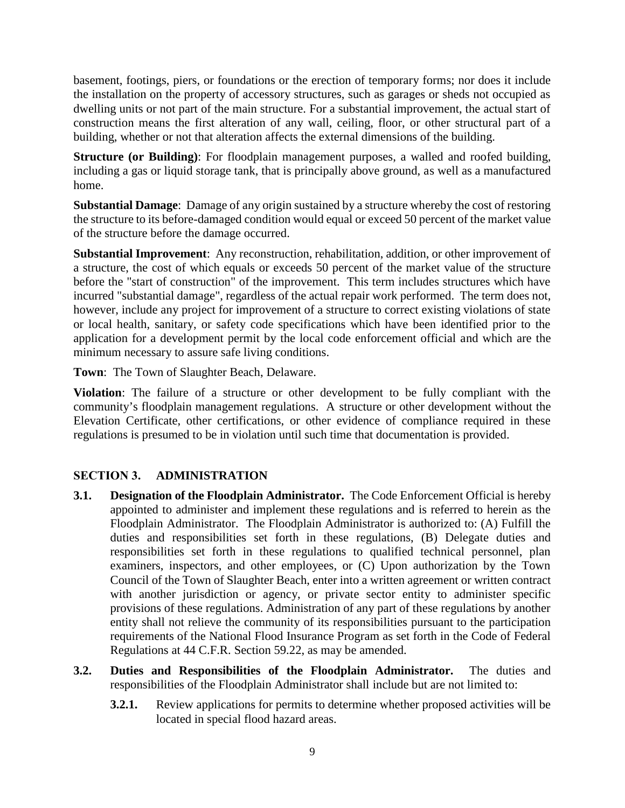basement, footings, piers, or foundations or the erection of temporary forms; nor does it include the installation on the property of accessory structures, such as garages or sheds not occupied as dwelling units or not part of the main structure. For a substantial improvement, the actual start of construction means the first alteration of any wall, ceiling, floor, or other structural part of a building, whether or not that alteration affects the external dimensions of the building.

**Structure (or Building)**: For floodplain management purposes, a walled and roofed building, including a gas or liquid storage tank, that is principally above ground, as well as a manufactured home.

**Substantial Damage**: Damage of any origin sustained by a structure whereby the cost of restoring the structure to its before-damaged condition would equal or exceed 50 percent of the market value of the structure before the damage occurred.

**Substantial Improvement**: Any reconstruction, rehabilitation, addition, or other improvement of a structure, the cost of which equals or exceeds 50 percent of the market value of the structure before the "start of construction" of the improvement. This term includes structures which have incurred "substantial damage", regardless of the actual repair work performed. The term does not, however, include any project for improvement of a structure to correct existing violations of state or local health, sanitary, or safety code specifications which have been identified prior to the application for a development permit by the local code enforcement official and which are the minimum necessary to assure safe living conditions.

**Town**: The Town of Slaughter Beach, Delaware.

**Violation**: The failure of a structure or other development to be fully compliant with the community's floodplain management regulations. A structure or other development without the Elevation Certificate, other certifications, or other evidence of compliance required in these regulations is presumed to be in violation until such time that documentation is provided.

## **SECTION 3. ADMINISTRATION**

- **3.1. Designation of the Floodplain Administrator.** The Code Enforcement Official is hereby appointed to administer and implement these regulations and is referred to herein as the Floodplain Administrator. The Floodplain Administrator is authorized to: (A) Fulfill the duties and responsibilities set forth in these regulations, (B) Delegate duties and responsibilities set forth in these regulations to qualified technical personnel, plan examiners, inspectors, and other employees, or (C) Upon authorization by the Town Council of the Town of Slaughter Beach, enter into a written agreement or written contract with another jurisdiction or agency, or private sector entity to administer specific provisions of these regulations. Administration of any part of these regulations by another entity shall not relieve the community of its responsibilities pursuant to the participation requirements of the National Flood Insurance Program as set forth in the Code of Federal Regulations at 44 C.F.R. Section 59.22, as may be amended.
- **3.2. Duties and Responsibilities of the Floodplain Administrator.** The duties and responsibilities of the Floodplain Administrator shall include but are not limited to:
	- **3.2.1.** Review applications for permits to determine whether proposed activities will be located in special flood hazard areas.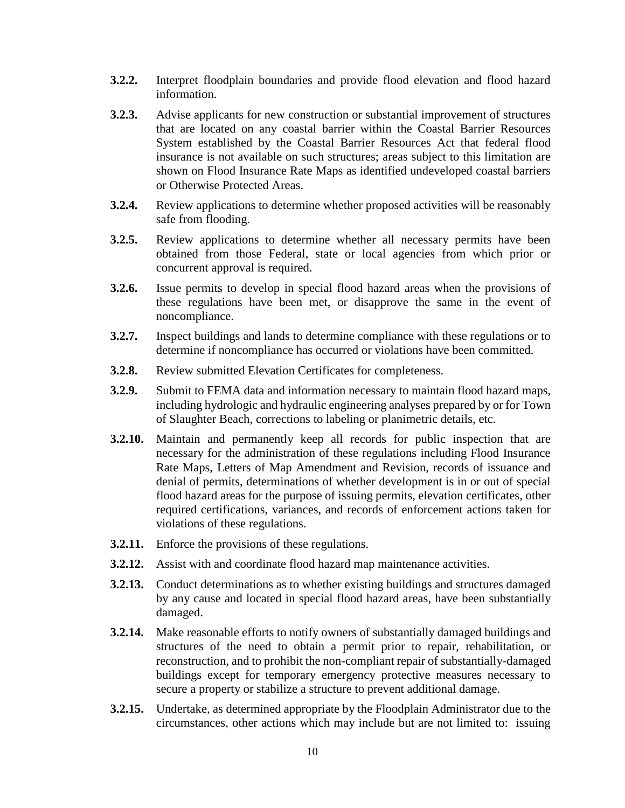- **3.2.2.** Interpret floodplain boundaries and provide flood elevation and flood hazard information.
- **3.2.3.** Advise applicants for new construction or substantial improvement of structures that are located on any coastal barrier within the Coastal Barrier Resources System established by the Coastal Barrier Resources Act that federal flood insurance is not available on such structures; areas subject to this limitation are shown on Flood Insurance Rate Maps as identified undeveloped coastal barriers or Otherwise Protected Areas.
- **3.2.4.** Review applications to determine whether proposed activities will be reasonably safe from flooding.
- **3.2.5.** Review applications to determine whether all necessary permits have been obtained from those Federal, state or local agencies from which prior or concurrent approval is required.
- **3.2.6.** Issue permits to develop in special flood hazard areas when the provisions of these regulations have been met, or disapprove the same in the event of noncompliance.
- **3.2.7.** Inspect buildings and lands to determine compliance with these regulations or to determine if noncompliance has occurred or violations have been committed.
- **3.2.8.** Review submitted Elevation Certificates for completeness.
- **3.2.9.** Submit to FEMA data and information necessary to maintain flood hazard maps, including hydrologic and hydraulic engineering analyses prepared by or for Town of Slaughter Beach, corrections to labeling or planimetric details, etc.
- **3.2.10.** Maintain and permanently keep all records for public inspection that are necessary for the administration of these regulations including Flood Insurance Rate Maps, Letters of Map Amendment and Revision, records of issuance and denial of permits, determinations of whether development is in or out of special flood hazard areas for the purpose of issuing permits, elevation certificates, other required certifications, variances, and records of enforcement actions taken for violations of these regulations.
- **3.2.11.** Enforce the provisions of these regulations.
- **3.2.12.** Assist with and coordinate flood hazard map maintenance activities.
- **3.2.13.** Conduct determinations as to whether existing buildings and structures damaged by any cause and located in special flood hazard areas, have been substantially damaged.
- **3.2.14.** Make reasonable efforts to notify owners of substantially damaged buildings and structures of the need to obtain a permit prior to repair, rehabilitation, or reconstruction, and to prohibit the non-compliant repair of substantially-damaged buildings except for temporary emergency protective measures necessary to secure a property or stabilize a structure to prevent additional damage.
- **3.2.15.** Undertake, as determined appropriate by the Floodplain Administrator due to the circumstances, other actions which may include but are not limited to: issuing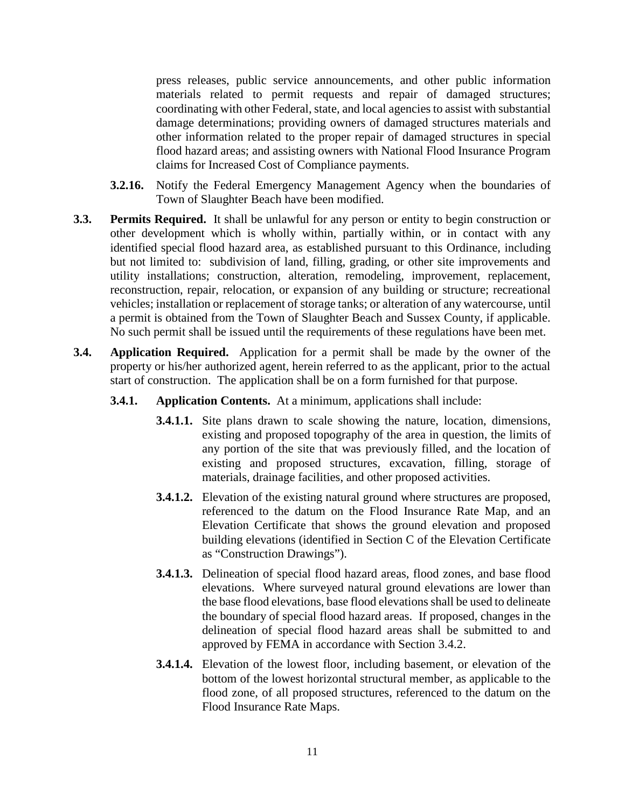press releases, public service announcements, and other public information materials related to permit requests and repair of damaged structures; coordinating with other Federal, state, and local agencies to assist with substantial damage determinations; providing owners of damaged structures materials and other information related to the proper repair of damaged structures in special flood hazard areas; and assisting owners with National Flood Insurance Program claims for Increased Cost of Compliance payments.

- **3.2.16.** Notify the Federal Emergency Management Agency when the boundaries of Town of Slaughter Beach have been modified.
- **3.3. Permits Required.** It shall be unlawful for any person or entity to begin construction or other development which is wholly within, partially within, or in contact with any identified special flood hazard area, as established pursuant to this Ordinance, including but not limited to: subdivision of land, filling, grading, or other site improvements and utility installations; construction, alteration, remodeling, improvement, replacement, reconstruction, repair, relocation, or expansion of any building or structure; recreational vehicles; installation or replacement of storage tanks; or alteration of any watercourse, until a permit is obtained from the Town of Slaughter Beach and Sussex County, if applicable. No such permit shall be issued until the requirements of these regulations have been met.
- **3.4. Application Required.** Application for a permit shall be made by the owner of the property or his/her authorized agent, herein referred to as the applicant, prior to the actual start of construction. The application shall be on a form furnished for that purpose.
	- **3.4.1. Application Contents.** At a minimum, applications shall include:
		- **3.4.1.1.** Site plans drawn to scale showing the nature, location, dimensions, existing and proposed topography of the area in question, the limits of any portion of the site that was previously filled, and the location of existing and proposed structures, excavation, filling, storage of materials, drainage facilities, and other proposed activities.
		- **3.4.1.2.** Elevation of the existing natural ground where structures are proposed, referenced to the datum on the Flood Insurance Rate Map, and an Elevation Certificate that shows the ground elevation and proposed building elevations (identified in Section C of the Elevation Certificate as "Construction Drawings").
		- **3.4.1.3.** Delineation of special flood hazard areas, flood zones, and base flood elevations. Where surveyed natural ground elevations are lower than the base flood elevations, base flood elevations shall be used to delineate the boundary of special flood hazard areas. If proposed, changes in the delineation of special flood hazard areas shall be submitted to and approved by FEMA in accordance with Section 3.4.2.
		- **3.4.1.4.** Elevation of the lowest floor, including basement, or elevation of the bottom of the lowest horizontal structural member, as applicable to the flood zone, of all proposed structures, referenced to the datum on the Flood Insurance Rate Maps.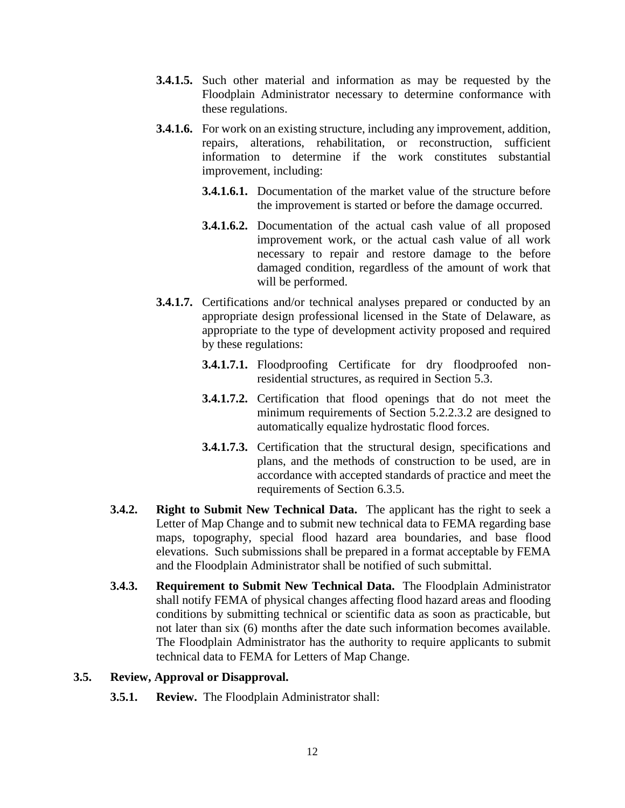- **3.4.1.5.** Such other material and information as may be requested by the Floodplain Administrator necessary to determine conformance with these regulations.
- **3.4.1.6.** For work on an existing structure, including any improvement, addition, repairs, alterations, rehabilitation, or reconstruction, sufficient information to determine if the work constitutes substantial improvement, including:
	- **3.4.1.6.1.** Documentation of the market value of the structure before the improvement is started or before the damage occurred.
	- **3.4.1.6.2.** Documentation of the actual cash value of all proposed improvement work, or the actual cash value of all work necessary to repair and restore damage to the before damaged condition, regardless of the amount of work that will be performed.
- **3.4.1.7.** Certifications and/or technical analyses prepared or conducted by an appropriate design professional licensed in the State of Delaware, as appropriate to the type of development activity proposed and required by these regulations:
	- **3.4.1.7.1.** Floodproofing Certificate for dry floodproofed nonresidential structures, as required in Section 5.3.
	- **3.4.1.7.2.** Certification that flood openings that do not meet the minimum requirements of Section 5.2.2.3.2 are designed to automatically equalize hydrostatic flood forces.
	- **3.4.1.7.3.** Certification that the structural design, specifications and plans, and the methods of construction to be used, are in accordance with accepted standards of practice and meet the requirements of Section 6.3.5.
- **3.4.2. Right to Submit New Technical Data.** The applicant has the right to seek a Letter of Map Change and to submit new technical data to FEMA regarding base maps, topography, special flood hazard area boundaries, and base flood elevations. Such submissions shall be prepared in a format acceptable by FEMA and the Floodplain Administrator shall be notified of such submittal.
- **3.4.3. Requirement to Submit New Technical Data.** The Floodplain Administrator shall notify FEMA of physical changes affecting flood hazard areas and flooding conditions by submitting technical or scientific data as soon as practicable, but not later than six (6) months after the date such information becomes available. The Floodplain Administrator has the authority to require applicants to submit technical data to FEMA for Letters of Map Change.

### **3.5. Review, Approval or Disapproval.**

**3.5.1. Review.** The Floodplain Administrator shall: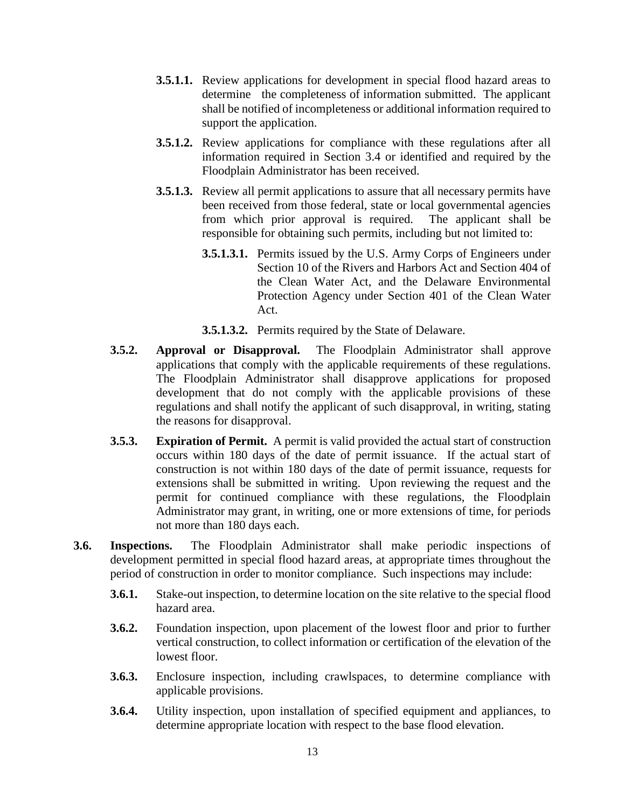- **3.5.1.1.** Review applications for development in special flood hazard areas to determine the completeness of information submitted. The applicant shall be notified of incompleteness or additional information required to support the application.
- **3.5.1.2.** Review applications for compliance with these regulations after all information required in Section 3.4 or identified and required by the Floodplain Administrator has been received.
- **3.5.1.3.** Review all permit applications to assure that all necessary permits have been received from those federal, state or local governmental agencies from which prior approval is required. The applicant shall be responsible for obtaining such permits, including but not limited to:
	- **3.5.1.3.1.** Permits issued by the U.S. Army Corps of Engineers under Section 10 of the Rivers and Harbors Act and Section 404 of the Clean Water Act, and the Delaware Environmental Protection Agency under Section 401 of the Clean Water Act.
	- **3.5.1.3.2.** Permits required by the State of Delaware.
- **3.5.2. Approval or Disapproval.** The Floodplain Administrator shall approve applications that comply with the applicable requirements of these regulations. The Floodplain Administrator shall disapprove applications for proposed development that do not comply with the applicable provisions of these regulations and shall notify the applicant of such disapproval, in writing, stating the reasons for disapproval.
- **3.5.3. Expiration of Permit.** A permit is valid provided the actual start of construction occurs within 180 days of the date of permit issuance. If the actual start of construction is not within 180 days of the date of permit issuance, requests for extensions shall be submitted in writing. Upon reviewing the request and the permit for continued compliance with these regulations, the Floodplain Administrator may grant, in writing, one or more extensions of time, for periods not more than 180 days each.
- **3.6. Inspections.** The Floodplain Administrator shall make periodic inspections of development permitted in special flood hazard areas, at appropriate times throughout the period of construction in order to monitor compliance. Such inspections may include:
	- **3.6.1.** Stake-out inspection, to determine location on the site relative to the special flood hazard area.
	- **3.6.2.** Foundation inspection, upon placement of the lowest floor and prior to further vertical construction, to collect information or certification of the elevation of the lowest floor.
	- **3.6.3.** Enclosure inspection, including crawlspaces, to determine compliance with applicable provisions.
	- **3.6.4.** Utility inspection, upon installation of specified equipment and appliances, to determine appropriate location with respect to the base flood elevation.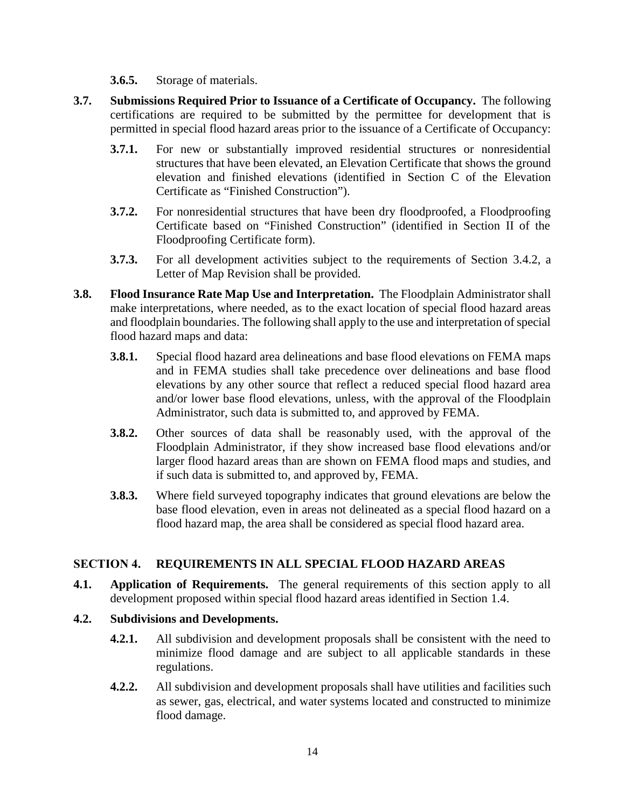**3.6.5.** Storage of materials.

- **3.7. Submissions Required Prior to Issuance of a Certificate of Occupancy.** The following certifications are required to be submitted by the permittee for development that is permitted in special flood hazard areas prior to the issuance of a Certificate of Occupancy:
	- **3.7.1.** For new or substantially improved residential structures or nonresidential structures that have been elevated, an Elevation Certificate that shows the ground elevation and finished elevations (identified in Section C of the Elevation Certificate as "Finished Construction").
	- **3.7.2.** For nonresidential structures that have been dry floodproofed, a Floodproofing Certificate based on "Finished Construction" (identified in Section II of the Floodproofing Certificate form).
	- **3.7.3.** For all development activities subject to the requirements of Section 3.4.2, a Letter of Map Revision shall be provided.
- **3.8. Flood Insurance Rate Map Use and Interpretation.** The Floodplain Administrator shall make interpretations, where needed, as to the exact location of special flood hazard areas and floodplain boundaries. The following shall apply to the use and interpretation of special flood hazard maps and data:
	- **3.8.1.** Special flood hazard area delineations and base flood elevations on FEMA maps and in FEMA studies shall take precedence over delineations and base flood elevations by any other source that reflect a reduced special flood hazard area and/or lower base flood elevations, unless, with the approval of the Floodplain Administrator, such data is submitted to, and approved by FEMA.
	- **3.8.2.** Other sources of data shall be reasonably used, with the approval of the Floodplain Administrator, if they show increased base flood elevations and/or larger flood hazard areas than are shown on FEMA flood maps and studies, and if such data is submitted to, and approved by, FEMA.
	- **3.8.3.** Where field surveyed topography indicates that ground elevations are below the base flood elevation, even in areas not delineated as a special flood hazard on a flood hazard map, the area shall be considered as special flood hazard area.

## **SECTION 4. REQUIREMENTS IN ALL SPECIAL FLOOD HAZARD AREAS**

- **4.1. Application of Requirements.** The general requirements of this section apply to all development proposed within special flood hazard areas identified in Section 1.4.
- **4.2. Subdivisions and Developments.**
	- **4.2.1.** All subdivision and development proposals shall be consistent with the need to minimize flood damage and are subject to all applicable standards in these regulations.
	- **4.2.2.** All subdivision and development proposals shall have utilities and facilities such as sewer, gas, electrical, and water systems located and constructed to minimize flood damage.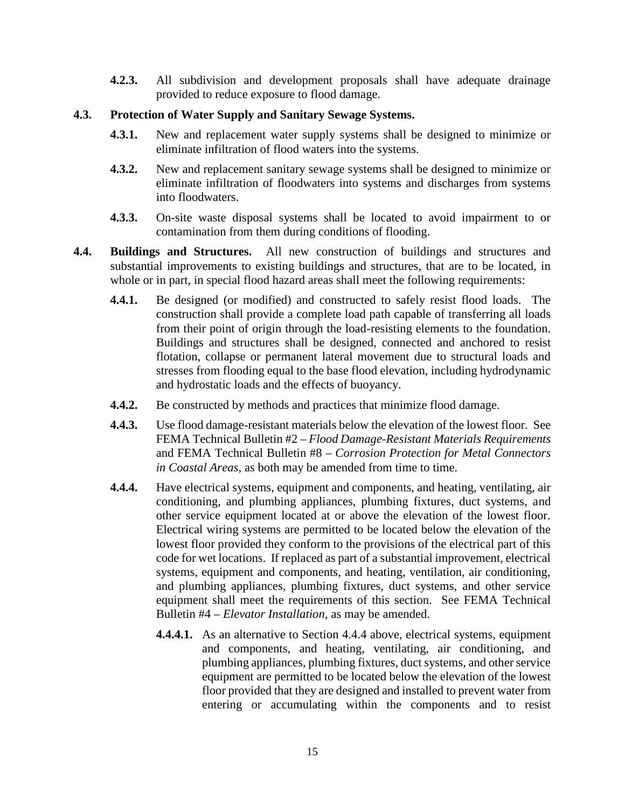**4.2.3.** All subdivision and development proposals shall have adequate drainage provided to reduce exposure to flood damage.

### **4.3. Protection of Water Supply and Sanitary Sewage Systems.**

- **4.3.1.** New and replacement water supply systems shall be designed to minimize or eliminate infiltration of flood waters into the systems.
- **4.3.2.** New and replacement sanitary sewage systems shall be designed to minimize or eliminate infiltration of floodwaters into systems and discharges from systems into floodwaters.
- **4.3.3.** On-site waste disposal systems shall be located to avoid impairment to or contamination from them during conditions of flooding.
- **4.4. Buildings and Structures.** All new construction of buildings and structures and substantial improvements to existing buildings and structures, that are to be located, in whole or in part, in special flood hazard areas shall meet the following requirements:
	- **4.4.1.** Be designed (or modified) and constructed to safely resist flood loads. The construction shall provide a complete load path capable of transferring all loads from their point of origin through the load-resisting elements to the foundation. Buildings and structures shall be designed, connected and anchored to resist flotation, collapse or permanent lateral movement due to structural loads and stresses from flooding equal to the base flood elevation, including hydrodynamic and hydrostatic loads and the effects of buoyancy.
	- **4.4.2.** Be constructed by methods and practices that minimize flood damage.
	- **4.4.3.** Use flood damage-resistant materials below the elevation of the lowest floor. See FEMA Technical Bulletin #2 – *Flood Damage-Resistant Materials Requirements* and FEMA Technical Bulletin #8 – *Corrosion Protection for Metal Connectors in Coastal Areas,* as both may be amended from time to time*.*
	- **4.4.4.** Have electrical systems, equipment and components, and heating, ventilating, air conditioning, and plumbing appliances, plumbing fixtures, duct systems, and other service equipment located at or above the elevation of the lowest floor. Electrical wiring systems are permitted to be located below the elevation of the lowest floor provided they conform to the provisions of the electrical part of this code for wet locations. If replaced as part of a substantial improvement, electrical systems, equipment and components, and heating, ventilation, air conditioning, and plumbing appliances, plumbing fixtures, duct systems, and other service equipment shall meet the requirements of this section. See FEMA Technical Bulletin #4 – *Elevator Installation*, as may be amended.
		- **4.4.4.1.** As an alternative to Section 4.4.4 above, electrical systems, equipment and components, and heating, ventilating, air conditioning, and plumbing appliances, plumbing fixtures, duct systems, and other service equipment are permitted to be located below the elevation of the lowest floor provided that they are designed and installed to prevent water from entering or accumulating within the components and to resist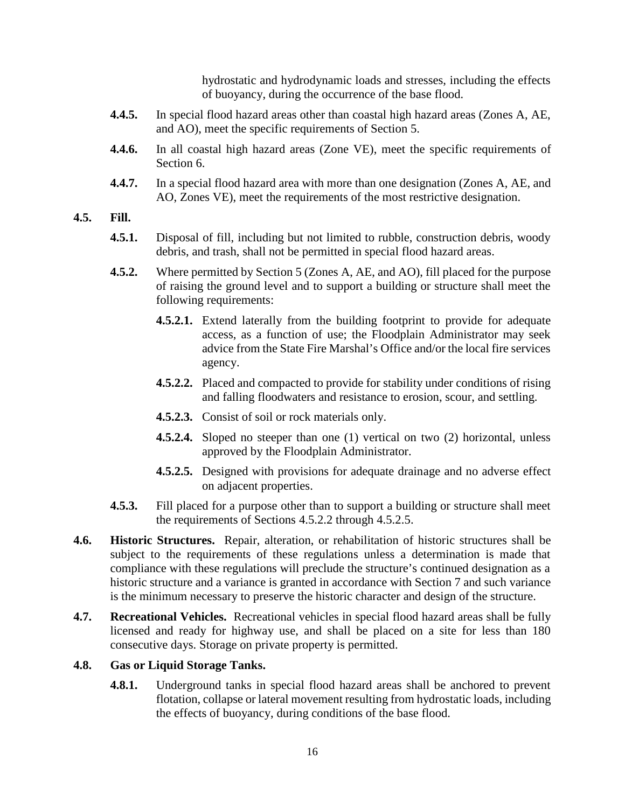hydrostatic and hydrodynamic loads and stresses, including the effects of buoyancy, during the occurrence of the base flood*.*

- **4.4.5.** In special flood hazard areas other than coastal high hazard areas (Zones A, AE, and AO), meet the specific requirements of Section 5.
- **4.4.6.** In all coastal high hazard areas (Zone VE), meet the specific requirements of Section 6.
- **4.4.7.** In a special flood hazard area with more than one designation (Zones A, AE, and AO, Zones VE), meet the requirements of the most restrictive designation.

#### **4.5. Fill.**

- **4.5.1.** Disposal of fill, including but not limited to rubble, construction debris, woody debris, and trash, shall not be permitted in special flood hazard areas.
- **4.5.2.** Where permitted by Section 5 (Zones A, AE, and AO), fill placed for the purpose of raising the ground level and to support a building or structure shall meet the following requirements:
	- **4.5.2.1.** Extend laterally from the building footprint to provide for adequate access, as a function of use; the Floodplain Administrator may seek advice from the State Fire Marshal's Office and/or the local fire services agency.
	- **4.5.2.2.** Placed and compacted to provide for stability under conditions of rising and falling floodwaters and resistance to erosion, scour, and settling.
	- **4.5.2.3.** Consist of soil or rock materials only.
	- **4.5.2.4.** Sloped no steeper than one (1) vertical on two (2) horizontal, unless approved by the Floodplain Administrator.
	- **4.5.2.5.** Designed with provisions for adequate drainage and no adverse effect on adjacent properties.
- **4.5.3.** Fill placed for a purpose other than to support a building or structure shall meet the requirements of Sections 4.5.2.2 through 4.5.2.5.
- **4.6. Historic Structures.** Repair, alteration, or rehabilitation of historic structures shall be subject to the requirements of these regulations unless a determination is made that compliance with these regulations will preclude the structure's continued designation as a historic structure and a variance is granted in accordance with Section 7 and such variance is the minimum necessary to preserve the historic character and design of the structure.
- **4.7. Recreational Vehicles.** Recreational vehicles in special flood hazard areas shall be fully licensed and ready for highway use, and shall be placed on a site for less than 180 consecutive days. Storage on private property is permitted.

### **4.8. Gas or Liquid Storage Tanks.**

**4.8.1.** Underground tanks in special flood hazard areas shall be anchored to prevent flotation, collapse or lateral movement resulting from hydrostatic loads, including the effects of buoyancy, during conditions of the base flood.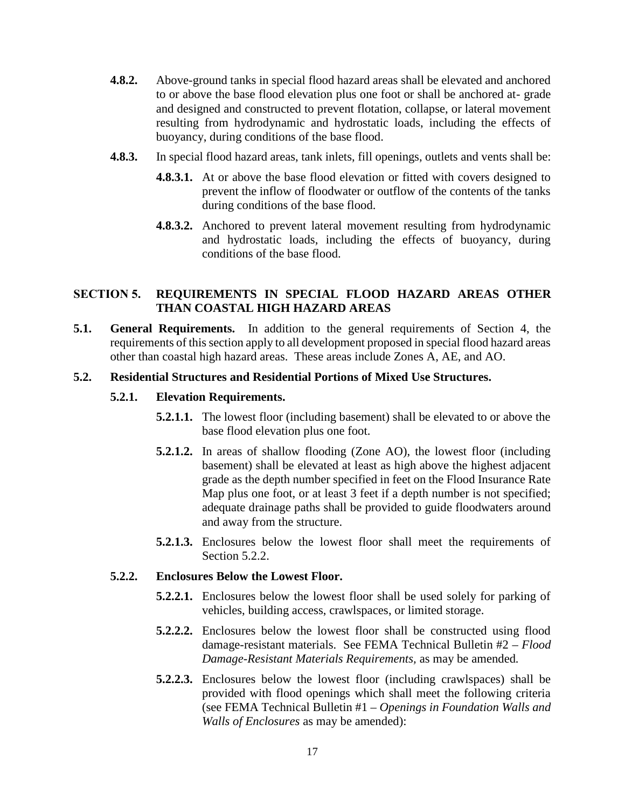- **4.8.2.** Above-ground tanks in special flood hazard areas shall be elevated and anchored to or above the base flood elevation plus one foot or shall be anchored at- grade and designed and constructed to prevent flotation, collapse, or lateral movement resulting from hydrodynamic and hydrostatic loads, including the effects of buoyancy, during conditions of the base flood.
- **4.8.3.** In special flood hazard areas, tank inlets, fill openings, outlets and vents shall be:
	- **4.8.3.1.** At or above the base flood elevation or fitted with covers designed to prevent the inflow of floodwater or outflow of the contents of the tanks during conditions of the base flood.
	- **4.8.3.2.** Anchored to prevent lateral movement resulting from hydrodynamic and hydrostatic loads, including the effects of buoyancy, during conditions of the base flood.

## **SECTION 5. REQUIREMENTS IN SPECIAL FLOOD HAZARD AREAS OTHER THAN COASTAL HIGH HAZARD AREAS**

**5.1. General Requirements.** In addition to the general requirements of Section 4, the requirements of this section apply to all development proposed in special flood hazard areas other than coastal high hazard areas. These areas include Zones A, AE, and AO.

## **5.2. Residential Structures and Residential Portions of Mixed Use Structures.**

#### **5.2.1. Elevation Requirements.**

- **5.2.1.1.** The lowest floor (including basement) shall be elevated to or above the base flood elevation plus one foot.
- **5.2.1.2.** In areas of shallow flooding (Zone AO), the lowest floor (including basement) shall be elevated at least as high above the highest adjacent grade as the depth number specified in feet on the Flood Insurance Rate Map plus one foot, or at least 3 feet if a depth number is not specified; adequate drainage paths shall be provided to guide floodwaters around and away from the structure.
- **5.2.1.3.** Enclosures below the lowest floor shall meet the requirements of Section 5.2.2.

#### **5.2.2. Enclosures Below the Lowest Floor.**

- **5.2.2.1.** Enclosures below the lowest floor shall be used solely for parking of vehicles, building access, crawlspaces, or limited storage.
- **5.2.2.2.** Enclosures below the lowest floor shall be constructed using flood damage-resistant materials. See FEMA Technical Bulletin #2 – *Flood Damage-Resistant Materials Requirements,* as may be amended*.*
- **5.2.2.3.** Enclosures below the lowest floor (including crawlspaces) shall be provided with flood openings which shall meet the following criteria (see FEMA Technical Bulletin #1 – *Openings in Foundation Walls and Walls of Enclosures* as may be amended):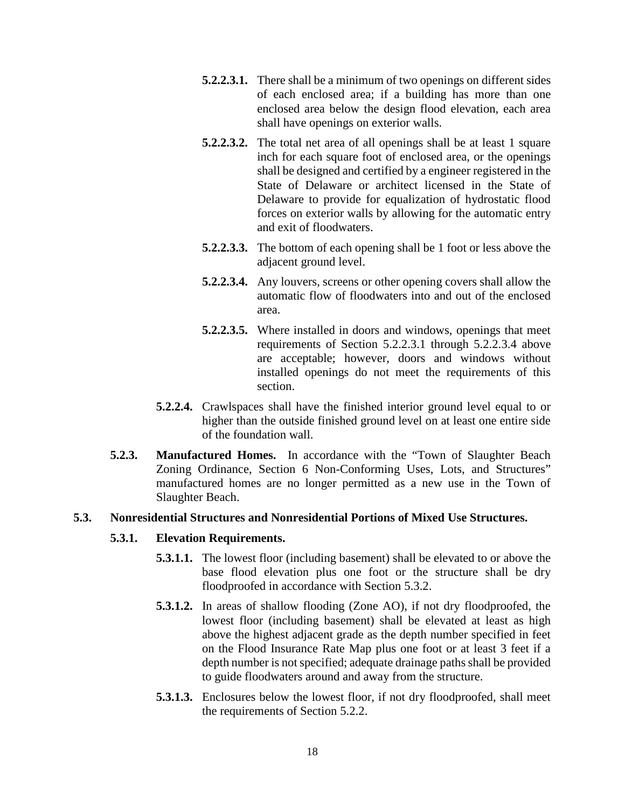- **5.2.2.3.1.** There shall be a minimum of two openings on different sides of each enclosed area; if a building has more than one enclosed area below the design flood elevation, each area shall have openings on exterior walls.
- **5.2.2.3.2.** The total net area of all openings shall be at least 1 square inch for each square foot of enclosed area, or the openings shall be designed and certified by a engineer registered in the State of Delaware or architect licensed in the State of Delaware to provide for equalization of hydrostatic flood forces on exterior walls by allowing for the automatic entry and exit of floodwaters.
- **5.2.2.3.3.** The bottom of each opening shall be 1 foot or less above the adjacent ground level.
- **5.2.2.3.4.** Any louvers, screens or other opening covers shall allow the automatic flow of floodwaters into and out of the enclosed area.
- **5.2.2.3.5.** Where installed in doors and windows, openings that meet requirements of Section 5.2.2.3.1 through 5.2.2.3.4 above are acceptable; however, doors and windows without installed openings do not meet the requirements of this section.
- **5.2.2.4.** Crawlspaces shall have the finished interior ground level equal to or higher than the outside finished ground level on at least one entire side of the foundation wall.
- **5.2.3. Manufactured Homes.** In accordance with the "Town of Slaughter Beach Zoning Ordinance, Section 6 Non-Conforming Uses, Lots, and Structures" manufactured homes are no longer permitted as a new use in the Town of Slaughter Beach.

## **5.3. Nonresidential Structures and Nonresidential Portions of Mixed Use Structures.**

### **5.3.1. Elevation Requirements.**

- **5.3.1.1.** The lowest floor (including basement) shall be elevated to or above the base flood elevation plus one foot or the structure shall be dry floodproofed in accordance with Section 5.3.2.
- **5.3.1.2.** In areas of shallow flooding (Zone AO), if not dry floodproofed, the lowest floor (including basement) shall be elevated at least as high above the highest adjacent grade as the depth number specified in feet on the Flood Insurance Rate Map plus one foot or at least 3 feet if a depth number is not specified; adequate drainage paths shall be provided to guide floodwaters around and away from the structure.
- **5.3.1.3.** Enclosures below the lowest floor, if not dry floodproofed, shall meet the requirements of Section 5.2.2.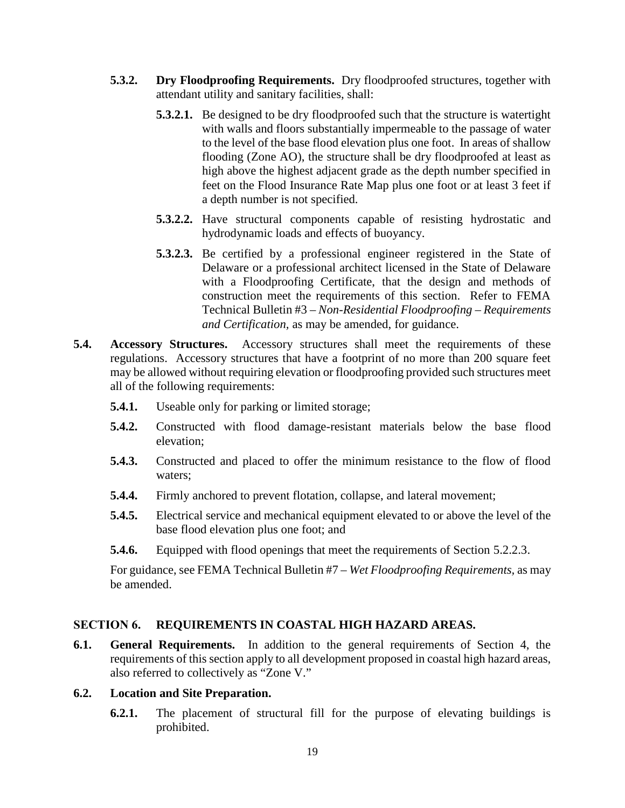- **5.3.2. Dry Floodproofing Requirements.** Dry floodproofed structures, together with attendant utility and sanitary facilities, shall:
	- **5.3.2.1.** Be designed to be dry floodproofed such that the structure is watertight with walls and floors substantially impermeable to the passage of water to the level of the base flood elevation plus one foot. In areas of shallow flooding (Zone AO), the structure shall be dry floodproofed at least as high above the highest adjacent grade as the depth number specified in feet on the Flood Insurance Rate Map plus one foot or at least 3 feet if a depth number is not specified.
	- **5.3.2.2.** Have structural components capable of resisting hydrostatic and hydrodynamic loads and effects of buoyancy.
	- **5.3.2.3.** Be certified by a professional engineer registered in the State of Delaware or a professional architect licensed in the State of Delaware with a Floodproofing Certificate, that the design and methods of construction meet the requirements of this section. Refer to FEMA Technical Bulletin #3 – *Non-Residential Floodproofing – Requirements and Certification,* as may be amended, for guidance.
- **5.4. Accessory Structures.** Accessory structures shall meet the requirements of these regulations. Accessory structures that have a footprint of no more than 200 square feet may be allowed without requiring elevation or floodproofing provided such structures meet all of the following requirements:
	- **5.4.1.** Useable only for parking or limited storage;
	- **5.4.2.** Constructed with flood damage-resistant materials below the base flood elevation;
	- **5.4.3.** Constructed and placed to offer the minimum resistance to the flow of flood waters;
	- **5.4.4.** Firmly anchored to prevent flotation, collapse, and lateral movement;
	- **5.4.5.** Electrical service and mechanical equipment elevated to or above the level of the base flood elevation plus one foot; and
	- **5.4.6.** Equipped with flood openings that meet the requirements of Section 5.2.2.3.

For guidance, see FEMA Technical Bulletin #7 – *Wet Floodproofing Requirements,* as may be amended.

### **SECTION 6. REQUIREMENTS IN COASTAL HIGH HAZARD AREAS.**

**6.1. General Requirements.** In addition to the general requirements of Section 4, the requirements of this section apply to all development proposed in coastal high hazard areas, also referred to collectively as "Zone V."

#### **6.2. Location and Site Preparation.**

**6.2.1.** The placement of structural fill for the purpose of elevating buildings is prohibited.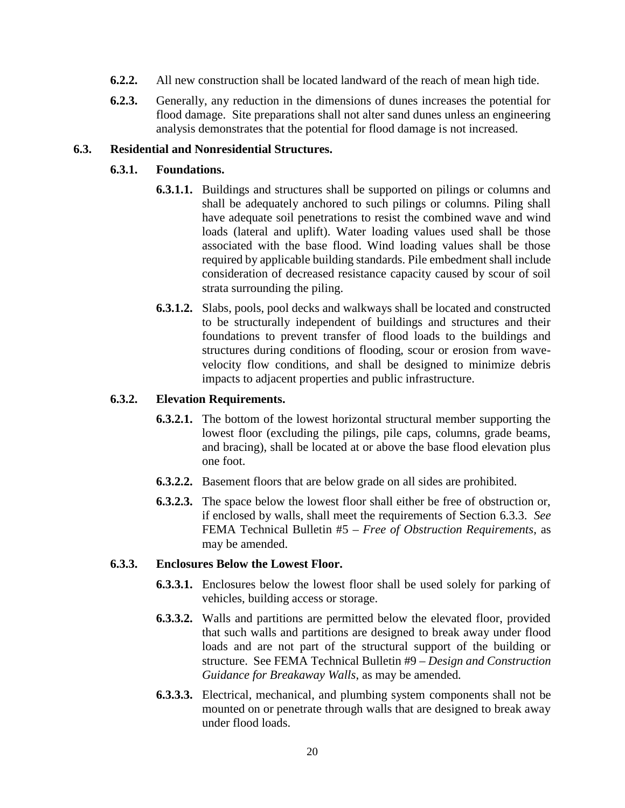- **6.2.2.** All new construction shall be located landward of the reach of mean high tide.
- **6.2.3.** Generally, any reduction in the dimensions of dunes increases the potential for flood damage. Site preparations shall not alter sand dunes unless an engineering analysis demonstrates that the potential for flood damage is not increased.

#### **6.3. Residential and Nonresidential Structures.**

#### **6.3.1. Foundations.**

- **6.3.1.1.** Buildings and structures shall be supported on pilings or columns and shall be adequately anchored to such pilings or columns. Piling shall have adequate soil penetrations to resist the combined wave and wind loads (lateral and uplift). Water loading values used shall be those associated with the base flood. Wind loading values shall be those required by applicable building standards. Pile embedment shall include consideration of decreased resistance capacity caused by scour of soil strata surrounding the piling.
- **6.3.1.2.** Slabs, pools, pool decks and walkways shall be located and constructed to be structurally independent of buildings and structures and their foundations to prevent transfer of flood loads to the buildings and structures during conditions of flooding, scour or erosion from wave velocity flow conditions, and shall be designed to minimize debris impacts to adjacent properties and public infrastructure.

#### **6.3.2. Elevation Requirements.**

- **6.3.2.1.** The bottom of the lowest horizontal structural member supporting the lowest floor (excluding the pilings, pile caps, columns, grade beams, and bracing), shall be located at or above the base flood elevation plus one foot.
- **6.3.2.2.** Basement floors that are below grade on all sides are prohibited.
- **6.3.2.3.** The space below the lowest floor shall either be free of obstruction or, if enclosed by walls, shall meet the requirements of Section 6.3.3. *See* FEMA Technical Bulletin #5 – *Free of Obstruction Requirements*, as may be amended.

#### **6.3.3. Enclosures Below the Lowest Floor.**

- **6.3.3.1.** Enclosures below the lowest floor shall be used solely for parking of vehicles, building access or storage.
- **6.3.3.2.** Walls and partitions are permitted below the elevated floor, provided that such walls and partitions are designed to break away under flood loads and are not part of the structural support of the building or structure. See FEMA Technical Bulletin #9 – *Design and Construction Guidance for Breakaway Walls*, as may be amended*.*
- **6.3.3.3.** Electrical, mechanical, and plumbing system components shall not be mounted on or penetrate through walls that are designed to break away under flood loads.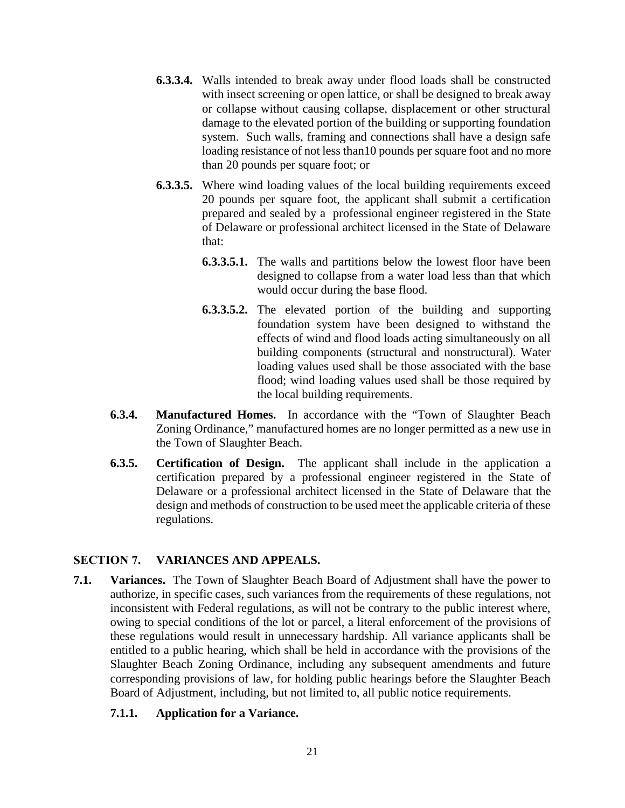- **6.3.3.4.** Walls intended to break away under flood loads shall be constructed with insect screening or open lattice, or shall be designed to break away or collapse without causing collapse, displacement or other structural damage to the elevated portion of the building or supporting foundation system. Such walls, framing and connections shall have a design safe loading resistance of not less than10 pounds per square foot and no more than 20 pounds per square foot; or
- **6.3.3.5.** Where wind loading values of the local building requirements exceed 20 pounds per square foot, the applicant shall submit a certification prepared and sealed by a professional engineer registered in the State of Delaware or professional architect licensed in the State of Delaware that:
	- **6.3.3.5.1.** The walls and partitions below the lowest floor have been designed to collapse from a water load less than that which would occur during the base flood.
	- **6.3.3.5.2.** The elevated portion of the building and supporting foundation system have been designed to withstand the effects of wind and flood loads acting simultaneously on all building components (structural and nonstructural). Water loading values used shall be those associated with the base flood; wind loading values used shall be those required by the local building requirements.
- **6.3.4. Manufactured Homes.** In accordance with the "Town of Slaughter Beach Zoning Ordinance," manufactured homes are no longer permitted as a new use in the Town of Slaughter Beach.
- **6.3.5. Certification of Design.** The applicant shall include in the application a certification prepared by a professional engineer registered in the State of Delaware or a professional architect licensed in the State of Delaware that the design and methods of construction to be used meet the applicable criteria of these regulations.

## **SECTION 7. VARIANCES AND APPEALS.**

**7.1. Variances.** The Town of Slaughter Beach Board of Adjustment shall have the power to authorize, in specific cases, such variances from the requirements of these regulations, not inconsistent with Federal regulations, as will not be contrary to the public interest where, owing to special conditions of the lot or parcel, a literal enforcement of the provisions of these regulations would result in unnecessary hardship. All variance applicants shall be entitled to a public hearing, which shall be held in accordance with the provisions of the Slaughter Beach Zoning Ordinance, including any subsequent amendments and future corresponding provisions of law, for holding public hearings before the Slaughter Beach Board of Adjustment, including, but not limited to, all public notice requirements.

## **7.1.1. Application for a Variance.**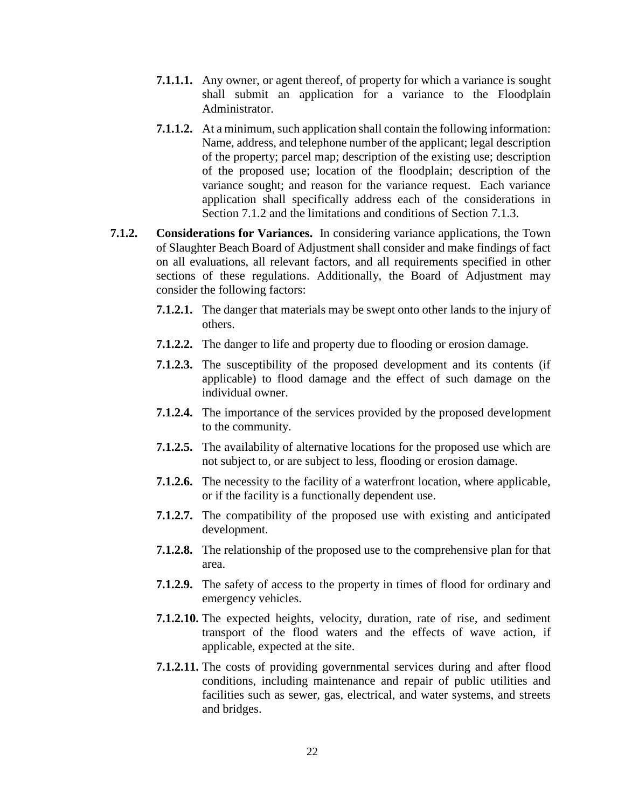- **7.1.1.1.** Any owner, or agent thereof, of property for which a variance is sought shall submit an application for a variance to the Floodplain Administrator.
- **7.1.1.2.** At a minimum, such application shall contain the following information: Name, address, and telephone number of the applicant; legal description of the property; parcel map; description of the existing use; description of the proposed use; location of the floodplain; description of the variance sought; and reason for the variance request. Each variance application shall specifically address each of the considerations in Section 7.1.2 and the limitations and conditions of Section 7.1.3.
- **7.1.2. Considerations for Variances.** In considering variance applications, the Town of Slaughter Beach Board of Adjustment shall consider and make findings of fact on all evaluations, all relevant factors, and all requirements specified in other sections of these regulations. Additionally, the Board of Adjustment may consider the following factors:
	- **7.1.2.1.** The danger that materials may be swept onto other lands to the injury of others.
	- **7.1.2.2.** The danger to life and property due to flooding or erosion damage.
	- **7.1.2.3.** The susceptibility of the proposed development and its contents (if applicable) to flood damage and the effect of such damage on the individual owner.
	- **7.1.2.4.** The importance of the services provided by the proposed development to the community.
	- **7.1.2.5.** The availability of alternative locations for the proposed use which are not subject to, or are subject to less, flooding or erosion damage.
	- **7.1.2.6.** The necessity to the facility of a waterfront location, where applicable, or if the facility is a functionally dependent use.
	- **7.1.2.7.** The compatibility of the proposed use with existing and anticipated development.
	- **7.1.2.8.** The relationship of the proposed use to the comprehensive plan for that area.
	- **7.1.2.9.** The safety of access to the property in times of flood for ordinary and emergency vehicles.
	- **7.1.2.10.** The expected heights, velocity, duration, rate of rise, and sediment transport of the flood waters and the effects of wave action, if applicable, expected at the site.
	- **7.1.2.11.** The costs of providing governmental services during and after flood conditions, including maintenance and repair of public utilities and facilities such as sewer, gas, electrical, and water systems, and streets and bridges.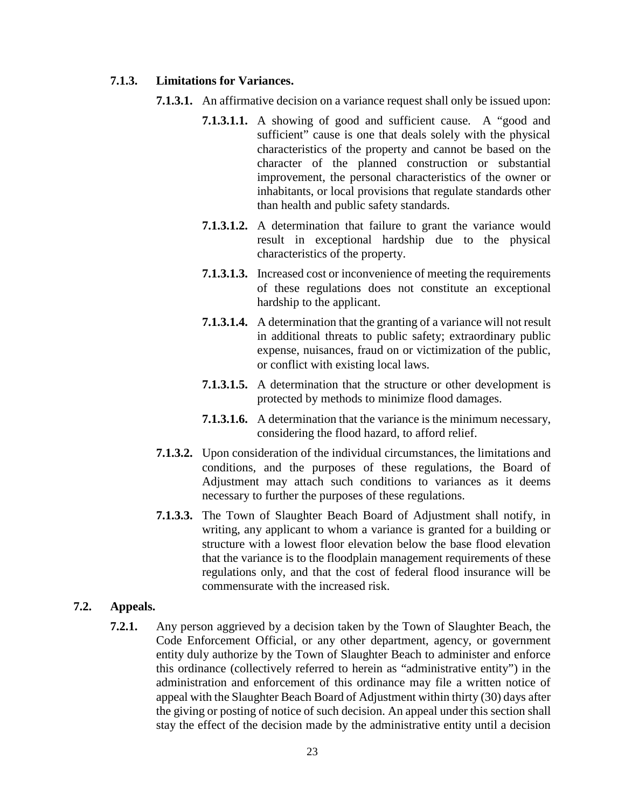#### **7.1.3. Limitations for Variances.**

- **7.1.3.1.** An affirmative decision on a variance request shall only be issued upon:
	- **7.1.3.1.1.** A showing of good and sufficient cause. A "good and sufficient" cause is one that deals solely with the physical characteristics of the property and cannot be based on the character of the planned construction or substantial improvement, the personal characteristics of the owner or inhabitants, or local provisions that regulate standards other than health and public safety standards.
	- **7.1.3.1.2.** A determination that failure to grant the variance would result in exceptional hardship due to the physical characteristics of the property.
	- **7.1.3.1.3.** Increased cost or inconvenience of meeting the requirements of these regulations does not constitute an exceptional hardship to the applicant.
	- **7.1.3.1.4.** A determination that the granting of a variance will not result in additional threats to public safety; extraordinary public expense, nuisances, fraud on or victimization of the public, or conflict with existing local laws.
	- **7.1.3.1.5.** A determination that the structure or other development is protected by methods to minimize flood damages.
	- **7.1.3.1.6.** A determination that the variance is the minimum necessary, considering the flood hazard, to afford relief.
- **7.1.3.2.** Upon consideration of the individual circumstances, the limitations and conditions, and the purposes of these regulations, the Board of Adjustment may attach such conditions to variances as it deems necessary to further the purposes of these regulations.
- **7.1.3.3.** The Town of Slaughter Beach Board of Adjustment shall notify, in writing, any applicant to whom a variance is granted for a building or structure with a lowest floor elevation below the base flood elevation that the variance is to the floodplain management requirements of these regulations only, and that the cost of federal flood insurance will be commensurate with the increased risk.

### **7.2. Appeals.**

**7.2.1.** Any person aggrieved by a decision taken by the Town of Slaughter Beach, the Code Enforcement Official, or any other department, agency, or government entity duly authorize by the Town of Slaughter Beach to administer and enforce this ordinance (collectively referred to herein as "administrative entity") in the administration and enforcement of this ordinance may file a written notice of appeal with the Slaughter Beach Board of Adjustment within thirty (30) days after the giving or posting of notice of such decision. An appeal under this section shall stay the effect of the decision made by the administrative entity until a decision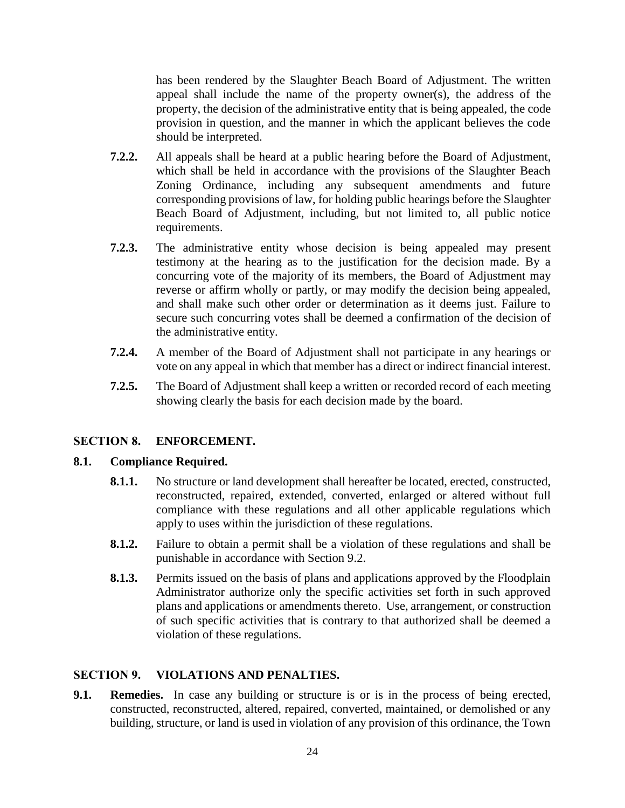has been rendered by the Slaughter Beach Board of Adjustment. The written appeal shall include the name of the property owner(s), the address of the property, the decision of the administrative entity that is being appealed, the code provision in question, and the manner in which the applicant believes the code should be interpreted.

- **7.2.2.** All appeals shall be heard at a public hearing before the Board of Adjustment, which shall be held in accordance with the provisions of the Slaughter Beach Zoning Ordinance, including any subsequent amendments and future corresponding provisions of law, for holding public hearings before the Slaughter Beach Board of Adjustment, including, but not limited to, all public notice requirements.
- **7.2.3.** The administrative entity whose decision is being appealed may present testimony at the hearing as to the justification for the decision made. By a concurring vote of the majority of its members, the Board of Adjustment may reverse or affirm wholly or partly, or may modify the decision being appealed, and shall make such other order or determination as it deems just. Failure to secure such concurring votes shall be deemed a confirmation of the decision of the administrative entity.
- **7.2.4.** A member of the Board of Adjustment shall not participate in any hearings or vote on any appeal in which that member has a direct or indirect financial interest.
- **7.2.5.** The Board of Adjustment shall keep a written or recorded record of each meeting showing clearly the basis for each decision made by the board.

## **SECTION 8. ENFORCEMENT.**

### **8.1. Compliance Required.**

- **8.1.1.** No structure or land development shall hereafter be located, erected, constructed, reconstructed, repaired, extended, converted, enlarged or altered without full compliance with these regulations and all other applicable regulations which apply to uses within the jurisdiction of these regulations.
- **8.1.2.** Failure to obtain a permit shall be a violation of these regulations and shall be punishable in accordance with Section 9.2.
- **8.1.3.** Permits issued on the basis of plans and applications approved by the Floodplain Administrator authorize only the specific activities set forth in such approved plans and applications or amendments thereto. Use, arrangement, or construction of such specific activities that is contrary to that authorized shall be deemed a violation of these regulations.

## **SECTION 9. VIOLATIONS AND PENALTIES.**

**9.1. Remedies.** In case any building or structure is or is in the process of being erected, constructed, reconstructed, altered, repaired, converted, maintained, or demolished or any building, structure, or land is used in violation of any provision of this ordinance, the Town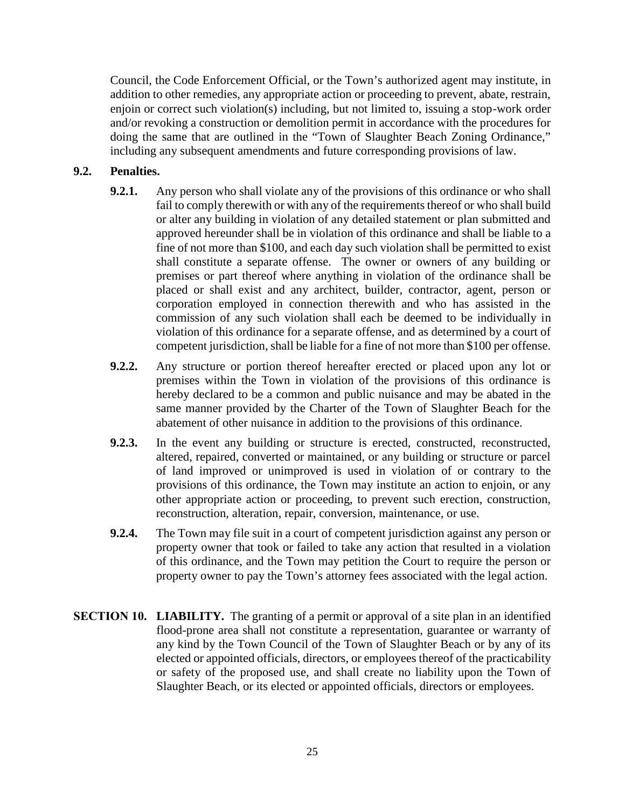Council, the Code Enforcement Official, or the Town's authorized agent may institute, in addition to other remedies, any appropriate action or proceeding to prevent, abate, restrain, enjoin or correct such violation(s) including, but not limited to, issuing a stop-work order and/or revoking a construction or demolition permit in accordance with the procedures for doing the same that are outlined in the "Town of Slaughter Beach Zoning Ordinance," including any subsequent amendments and future corresponding provisions of law.

### **9.2. Penalties.**

- **9.2.1.** Any person who shall violate any of the provisions of this ordinance or who shall fail to comply therewith or with any of the requirements thereof or who shall build or alter any building in violation of any detailed statement or plan submitted and approved hereunder shall be in violation of this ordinance and shall be liable to a fine of not more than \$100, and each day such violation shall be permitted to exist shall constitute a separate offense. The owner or owners of any building or premises or part thereof where anything in violation of the ordinance shall be placed or shall exist and any architect, builder, contractor, agent, person or corporation employed in connection therewith and who has assisted in the commission of any such violation shall each be deemed to be individually in violation of this ordinance for a separate offense, and as determined by a court of competent jurisdiction, shall be liable for a fine of not more than \$100 per offense.
- **9.2.2.** Any structure or portion thereof hereafter erected or placed upon any lot or premises within the Town in violation of the provisions of this ordinance is hereby declared to be a common and public nuisance and may be abated in the same manner provided by the Charter of the Town of Slaughter Beach for the abatement of other nuisance in addition to the provisions of this ordinance.
- **9.2.3.** In the event any building or structure is erected, constructed, reconstructed, altered, repaired, converted or maintained, or any building or structure or parcel of land improved or unimproved is used in violation of or contrary to the provisions of this ordinance, the Town may institute an action to enjoin, or any other appropriate action or proceeding, to prevent such erection, construction, reconstruction, alteration, repair, conversion, maintenance, or use.
- **9.2.4.** The Town may file suit in a court of competent jurisdiction against any person or property owner that took or failed to take any action that resulted in a violation of this ordinance, and the Town may petition the Court to require the person or property owner to pay the Town's attorney fees associated with the legal action.
- **SECTION 10. LIABILITY.** The granting of a permit or approval of a site plan in an identified flood-prone area shall not constitute a representation, guarantee or warranty of any kind by the Town Council of the Town of Slaughter Beach or by any of its elected or appointed officials, directors, or employees thereof of the practicability or safety of the proposed use, and shall create no liability upon the Town of Slaughter Beach, or its elected or appointed officials, directors or employees.